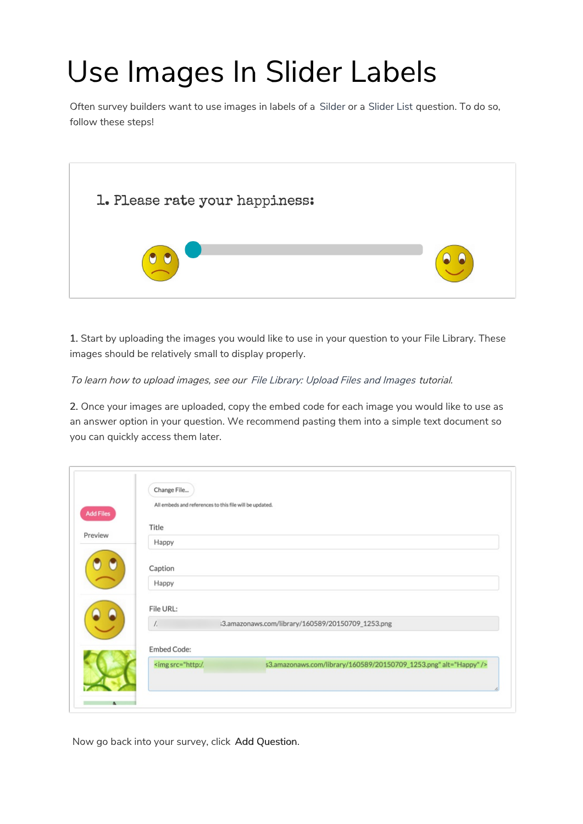## Use Images In Slider Labels

Often survey builders want to use images in labels of a Silder or a Slider List question. To do so, follow these steps!



1. Start by uploading the images you would like to use in your question to your File Library. These images should be relatively small to display properly.

To learn how to upload images, see our File Library: Upload Files and Images tutorial.

2. Once your images are uploaded, copy the embed code for each image you would like to use as an answer option in your question. We recommend pasting them into a simple text document so you can quickly access them later.

| <b>Add Files</b> | All embeds and references to this file will be updated.                                     |
|------------------|---------------------------------------------------------------------------------------------|
|                  | Title                                                                                       |
| Preview          | Happy                                                                                       |
|                  | Caption                                                                                     |
|                  | Happy                                                                                       |
|                  | File URL:                                                                                   |
|                  | $\frac{1}{2}$<br>i3.amazonaws.com/library/160589/20150709_1253.png                          |
|                  | <b>Embed Code:</b>                                                                          |
|                  | <img alt="Happy" src="http:/.&lt;br&gt;s3.amazonaws.com/library/160589/20150709_1253.png"/> |

Now go back into your survey, click Add Question.